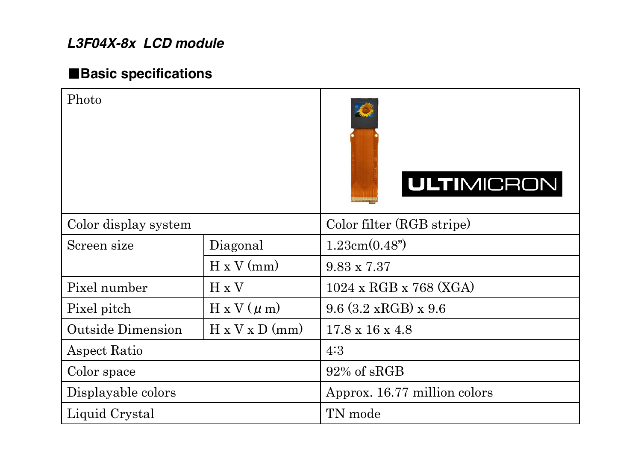## *L3F04X-8x LCD module*

## 䕔**Basic specifications**

| Photo                    |                            | <b>ULTIMICRON</b>                                 |
|--------------------------|----------------------------|---------------------------------------------------|
| Color display system     |                            | Color filter (RGB stripe)                         |
| Screen size              | Diagonal                   | 1.23cm(0.48")                                     |
|                          | $H \times V$ (mm)          | $9.83 \times 7.37$                                |
| Pixel number             | H x V                      | $1024 \times \text{RGB} \times 768 \text{ (XGA)}$ |
| Pixel pitch              | $H \times V$ ( $\mu$ m)    | $9.6$ (3.2 xRGB) x $9.6$                          |
| <b>Outside Dimension</b> | $H \times V \times D$ (mm) | $17.8 \times 16 \times 4.8$                       |
| <b>Aspect Ratio</b>      |                            | 4:3                                               |
| Color space              |                            | 92% of sRGB                                       |
| Displayable colors       |                            | Approx. 16.77 million colors                      |
| Liquid Crystal           |                            | TN mode                                           |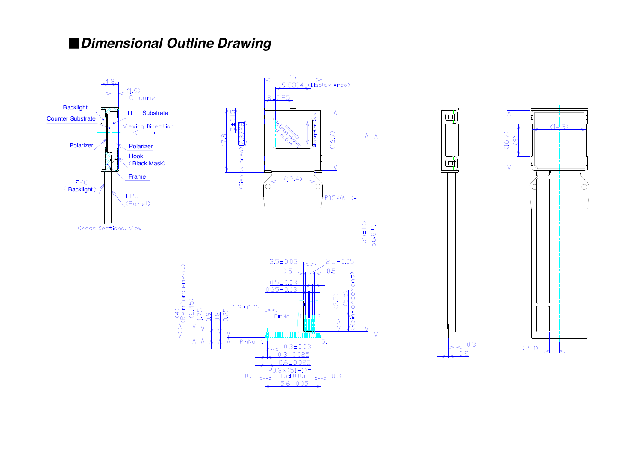#### 䕔*Dimensional Outline Drawing*